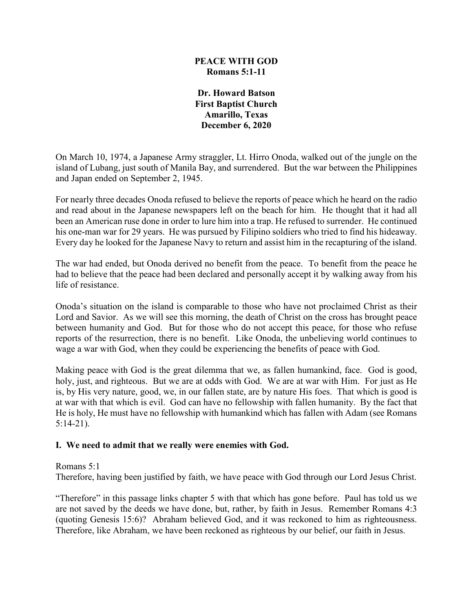### **PEACE WITH GOD Romans 5:1-11**

**Dr. Howard Batson First Baptist Church Amarillo, Texas December 6, 2020**

On March 10, 1974, a Japanese Army straggler, Lt. Hirro Onoda, walked out of the jungle on the island of Lubang, just south of Manila Bay, and surrendered. But the war between the Philippines and Japan ended on September 2, 1945.

For nearly three decades Onoda refused to believe the reports of peace which he heard on the radio and read about in the Japanese newspapers left on the beach for him. He thought that it had all been an American ruse done in order to lure him into a trap. He refused to surrender. He continued his one-man war for 29 years. He was pursued by Filipino soldiers who tried to find his hideaway. Every day he looked for the Japanese Navy to return and assist him in the recapturing of the island.

The war had ended, but Onoda derived no benefit from the peace. To benefit from the peace he had to believe that the peace had been declared and personally accept it by walking away from his life of resistance.

Onoda's situation on the island is comparable to those who have not proclaimed Christ as their Lord and Savior. As we will see this morning, the death of Christ on the cross has brought peace between humanity and God. But for those who do not accept this peace, for those who refuse reports of the resurrection, there is no benefit. Like Onoda, the unbelieving world continues to wage a war with God, when they could be experiencing the benefits of peace with God.

Making peace with God is the great dilemma that we, as fallen humankind, face. God is good, holy, just, and righteous. But we are at odds with God. We are at war with Him. For just as He is, by His very nature, good, we, in our fallen state, are by nature His foes. That which is good is at war with that which is evil. God can have no fellowship with fallen humanity. By the fact that He is holy, He must have no fellowship with humankind which has fallen with Adam (see Romans 5:14-21).

# **I. We need to admit that we really were enemies with God.**

Romans 5:1

Therefore, having been justified by faith, we have peace with God through our Lord Jesus Christ.

"Therefore" in this passage links chapter 5 with that which has gone before. Paul has told us we are not saved by the deeds we have done, but, rather, by faith in Jesus. Remember Romans 4:3 (quoting Genesis 15:6)? Abraham believed God, and it was reckoned to him as righteousness. Therefore, like Abraham, we have been reckoned as righteous by our belief, our faith in Jesus.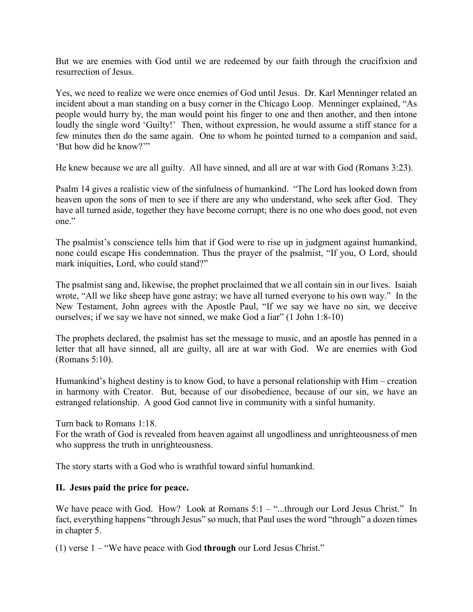But we are enemies with God until we are redeemed by our faith through the crucifixion and resurrection of Jesus.

Yes, we need to realize we were once enemies of God until Jesus. Dr. Karl Menninger related an incident about a man standing on a busy corner in the Chicago Loop. Menninger explained, "As people would hurry by, the man would point his finger to one and then another, and then intone loudly the single word 'Guilty!' Then, without expression, he would assume a stiff stance for a few minutes then do the same again. One to whom he pointed turned to a companion and said, 'But how did he know?'"

He knew because we are all guilty. All have sinned, and all are at war with God (Romans 3:23).

Psalm 14 gives a realistic view of the sinfulness of humankind. "The Lord has looked down from heaven upon the sons of men to see if there are any who understand, who seek after God. They have all turned aside, together they have become corrupt; there is no one who does good, not even one."

The psalmist's conscience tells him that if God were to rise up in judgment against humankind, none could escape His condemnation. Thus the prayer of the psalmist, "If you, O Lord, should mark iniquities, Lord, who could stand?"

The psalmist sang and, likewise, the prophet proclaimed that we all contain sin in our lives. Isaiah wrote, "All we like sheep have gone astray; we have all turned everyone to his own way." In the New Testament, John agrees with the Apostle Paul, "If we say we have no sin, we deceive ourselves; if we say we have not sinned, we make God a liar" (1 John 1:8-10)

The prophets declared, the psalmist has set the message to music, and an apostle has penned in a letter that all have sinned, all are guilty, all are at war with God. We are enemies with God (Romans 5:10).

Humankind's highest destiny is to know God, to have a personal relationship with Him – creation in harmony with Creator. But, because of our disobedience, because of our sin, we have an estranged relationship. A good God cannot live in community with a sinful humanity.

Turn back to Romans 1:18.

For the wrath of God is revealed from heaven against all ungodliness and unrighteousness of men who suppress the truth in unrighteousness.

The story starts with a God who is wrathful toward sinful humankind.

#### **II. Jesus paid the price for peace.**

We have peace with God. How? Look at Romans 5:1 – "...through our Lord Jesus Christ." In fact, everything happens "through Jesus" so much, that Paul uses the word "through" a dozen times in chapter 5.

(1) verse 1 – "We have peace with God **through** our Lord Jesus Christ."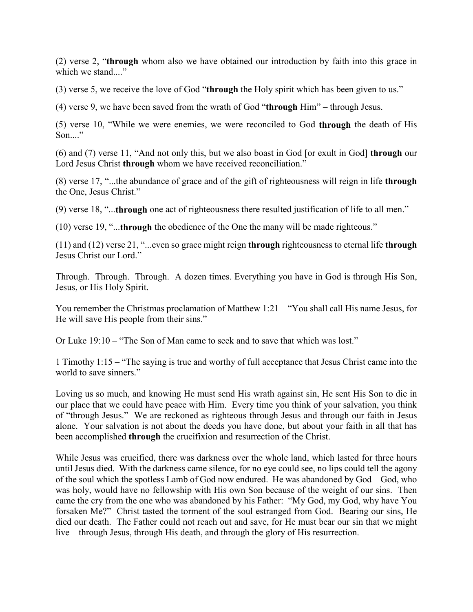(2) verse 2, "**through** whom also we have obtained our introduction by faith into this grace in which we stand...."

(3) verse 5, we receive the love of God "**through** the Holy spirit which has been given to us."

(4) verse 9, we have been saved from the wrath of God "**through** Him" – through Jesus.

(5) verse 10, "While we were enemies, we were reconciled to God **through** the death of His Son...."

(6) and (7) verse 11, "And not only this, but we also boast in God [or exult in God] **through** our Lord Jesus Christ **through** whom we have received reconciliation."

(8) verse 17, "...the abundance of grace and of the gift of righteousness will reign in life **through** the One, Jesus Christ."

(9) verse 18, "...**through** one act of righteousness there resulted justification of life to all men."

(10) verse 19, "...**through** the obedience of the One the many will be made righteous."

(11) and (12) verse 21, "...even so grace might reign **through** righteousness to eternal life **through** Jesus Christ our Lord."

Through. Through. Through. A dozen times. Everything you have in God is through His Son, Jesus, or His Holy Spirit.

You remember the Christmas proclamation of Matthew 1:21 – "You shall call His name Jesus, for He will save His people from their sins."

Or Luke 19:10 – "The Son of Man came to seek and to save that which was lost."

1 Timothy 1:15 – "The saying is true and worthy of full acceptance that Jesus Christ came into the world to save sinners."

Loving us so much, and knowing He must send His wrath against sin, He sent His Son to die in our place that we could have peace with Him. Every time you think of your salvation, you think of "through Jesus." We are reckoned as righteous through Jesus and through our faith in Jesus alone. Your salvation is not about the deeds you have done, but about your faith in all that has been accomplished **through** the crucifixion and resurrection of the Christ.

While Jesus was crucified, there was darkness over the whole land, which lasted for three hours until Jesus died. With the darkness came silence, for no eye could see, no lips could tell the agony of the soul which the spotless Lamb of God now endured. He was abandoned by God – God, who was holy, would have no fellowship with His own Son because of the weight of our sins. Then came the cry from the one who was abandoned by his Father: "My God, my God, why have You forsaken Me?" Christ tasted the torment of the soul estranged from God. Bearing our sins, He died our death. The Father could not reach out and save, for He must bear our sin that we might live – through Jesus, through His death, and through the glory of His resurrection.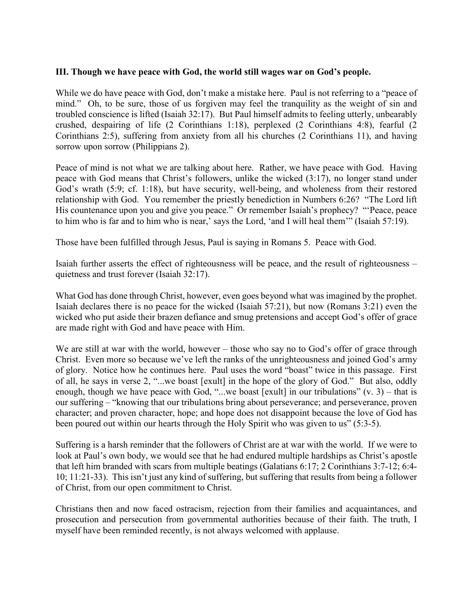### **III. Though we have peace with God, the world still wages war on God's people.**

While we do have peace with God, don't make a mistake here. Paul is not referring to a "peace of mind." Oh, to be sure, those of us forgiven may feel the tranquility as the weight of sin and troubled conscience is lifted (Isaiah 32:17). But Paul himself admits to feeling utterly, unbearably crushed, despairing of life (2 Corinthians 1:18), perplexed (2 Corinthians 4:8), fearful (2 Corinthians 2:5), suffering from anxiety from all his churches (2 Corinthians 11), and having sorrow upon sorrow (Philippians 2).

Peace of mind is not what we are talking about here. Rather, we have peace with God. Having peace with God means that Christ's followers, unlike the wicked (3:17), no longer stand under God's wrath (5:9; cf. 1:18), but have security, well-being, and wholeness from their restored relationship with God. You remember the priestly benediction in Numbers 6:26? "The Lord lift His countenance upon you and give you peace." Or remember Isaiah's prophecy? "'Peace, peace to him who is far and to him who is near,' says the Lord, 'and I will heal them'" (Isaiah 57:19).

Those have been fulfilled through Jesus, Paul is saying in Romans 5. Peace with God.

Isaiah further asserts the effect of righteousness will be peace, and the result of righteousness – quietness and trust forever (Isaiah 32:17).

What God has done through Christ, however, even goes beyond what was imagined by the prophet. Isaiah declares there is no peace for the wicked (Isaiah 57:21), but now (Romans 3:21) even the wicked who put aside their brazen defiance and smug pretensions and accept God's offer of grace are made right with God and have peace with Him.

We are still at war with the world, however – those who say no to God's offer of grace through Christ. Even more so because we've left the ranks of the unrighteousness and joined God's army of glory. Notice how he continues here. Paul uses the word "boast" twice in this passage. First of all, he says in verse 2, "...we boast [exult] in the hope of the glory of God." But also, oddly enough, though we have peace with God, "...we boast [exult] in our tribulations"  $(v. 3)$  – that is our suffering – "knowing that our tribulations bring about perseverance; and perseverance, proven character; and proven character, hope; and hope does not disappoint because the love of God has been poured out within our hearts through the Holy Spirit who was given to us" (5:3-5).

Suffering is a harsh reminder that the followers of Christ are at war with the world. If we were to look at Paul's own body, we would see that he had endured multiple hardships as Christ's apostle that left him branded with scars from multiple beatings (Galatians 6:17; 2 Corinthians 3:7-12; 6:4- 10; 11:21-33). This isn't just any kind of suffering, but suffering that results from being a follower of Christ, from our open commitment to Christ.

Christians then and now faced ostracism, rejection from their families and acquaintances, and prosecution and persecution from governmental authorities because of their faith. The truth, I myself have been reminded recently, is not always welcomed with applause.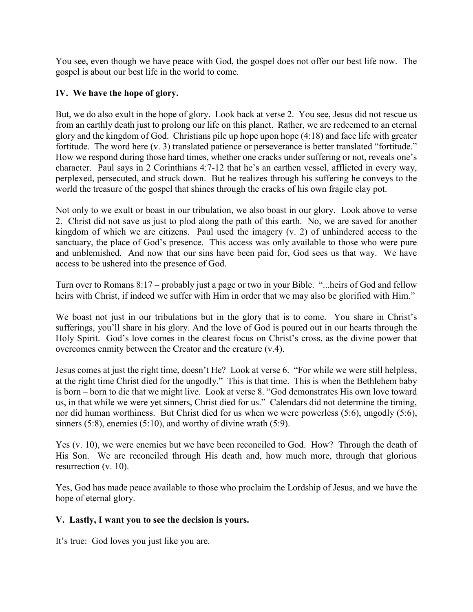You see, even though we have peace with God, the gospel does not offer our best life now. The gospel is about our best life in the world to come.

# **IV. We have the hope of glory.**

But, we do also exult in the hope of glory. Look back at verse 2. You see, Jesus did not rescue us from an earthly death just to prolong our life on this planet. Rather, we are redeemed to an eternal glory and the kingdom of God. Christians pile up hope upon hope (4:18) and face life with greater fortitude. The word here (v. 3) translated patience or perseverance is better translated "fortitude." How we respond during those hard times, whether one cracks under suffering or not, reveals one's character. Paul says in 2 Corinthians 4:7-12 that he's an earthen vessel, afflicted in every way, perplexed, persecuted, and struck down. But he realizes through his suffering he conveys to the world the treasure of the gospel that shines through the cracks of his own fragile clay pot.

Not only to we exult or boast in our tribulation, we also boast in our glory. Look above to verse 2. Christ did not save us just to plod along the path of this earth. No, we are saved for another kingdom of which we are citizens. Paul used the imagery (v. 2) of unhindered access to the sanctuary, the place of God's presence. This access was only available to those who were pure and unblemished. And now that our sins have been paid for, God sees us that way. We have access to be ushered into the presence of God.

Turn over to Romans 8:17 – probably just a page or two in your Bible. "...heirs of God and fellow heirs with Christ, if indeed we suffer with Him in order that we may also be glorified with Him."

We boast not just in our tribulations but in the glory that is to come. You share in Christ's sufferings, you'll share in his glory. And the love of God is poured out in our hearts through the Holy Spirit. God's love comes in the clearest focus on Christ's cross, as the divine power that overcomes enmity between the Creator and the creature (v.4).

Jesus comes at just the right time, doesn't He? Look at verse 6. "For while we were still helpless, at the right time Christ died for the ungodly." This is that time. This is when the Bethlehem baby is born – born to die that we might live. Look at verse 8. "God demonstrates His own love toward us, in that while we were yet sinners, Christ died for us." Calendars did not determine the timing, nor did human worthiness. But Christ died for us when we were powerless (5:6), ungodly (5:6), sinners (5:8), enemies (5:10), and worthy of divine wrath (5:9).

Yes (v. 10), we were enemies but we have been reconciled to God. How? Through the death of His Son. We are reconciled through His death and, how much more, through that glorious resurrection (v. 10).

Yes, God has made peace available to those who proclaim the Lordship of Jesus, and we have the hope of eternal glory.

# **V. Lastly, I want you to see the decision is yours.**

It's true: God loves you just like you are.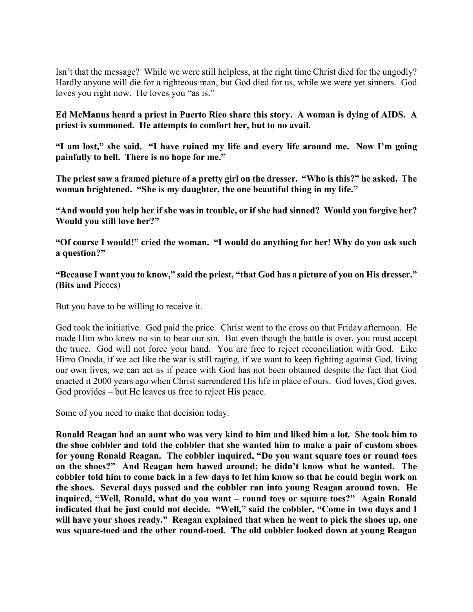Isn't that the message? While we were still helpless, at the right time Christ died for the ungodly? Hardly anyone will die for a righteous man, but God died for us, while we were yet sinners. God loves you right now. He loves you "as is."

### **Ed McManus heard a priest in Puerto Rico share this story. A woman is dying of AIDS. A priest is summoned. He attempts to comfort her, but to no avail.**

**"I am lost," she said. "I have ruined my life and every life around me. Now I'm going painfully to hell. There is no hope for me."**

**The priest saw a framed picture of a pretty girl on the dresser. "Who is this?" he asked. The woman brightened. "She is my daughter, the one beautiful thing in my life."**

**"And would you help her if she was in trouble, or if she had sinned? Would you forgive her? Would you still love her?"**

**"Of course I would!" cried the woman. "I would do anything for her! Why do you ask such a question?"**

### **"Because I want you to know," said the priest, "that God has a picture of you on His dresser." (Bits and** Pieces)

But you have to be willing to receive it.

God took the initiative. God paid the price. Christ went to the cross on that Friday afternoon. He made Him who knew no sin to bear our sin. But even though the battle is over, you must accept the truce. God will not force your hand. You are free to reject reconciliation with God. Like Hirro Onoda, if we act like the war is still raging, if we want to keep fighting against God, living our own lives, we can act as if peace with God has not been obtained despite the fact that God enacted it 2000 years ago when Christ surrendered His life in place of ours. God loves, God gives, God provides – but He leaves us free to reject His peace.

Some of you need to make that decision today.

**Ronald Reagan had an aunt who was very kind to him and liked him a lot. She took him to the shoe cobbler and told the cobbler that she wanted him to make a pair of custom shoes for young Ronald Reagan. The cobbler inquired, "Do you want square toes or round toes on the shoes?" And Reagan hem hawed around; he didn't know what he wanted. The cobbler told him to come back in a few days to let him know so that he could begin work on the shoes. Several days passed and the cobbler ran into young Reagan around town. He inquired, "Well, Ronald, what do you want – round toes or square toes?" Again Ronald indicated that he just could not decide. "Well," said the cobbler, "Come in two days and I will have your shoes ready." Reagan explained that when he went to pick the shoes up, one was square-toed and the other round-toed. The old cobbler looked down at young Reagan**